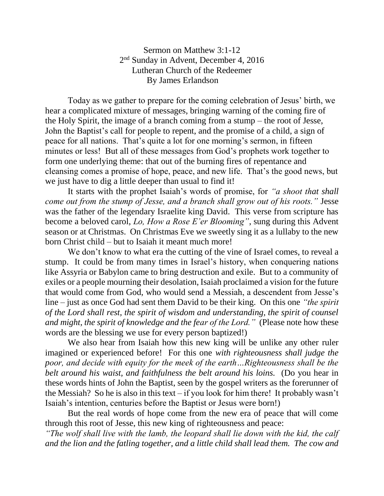Sermon on Matthew 3:1-12 2<sup>nd</sup> Sunday in Advent, December 4, 2016 Lutheran Church of the Redeemer By James Erlandson

Today as we gather to prepare for the coming celebration of Jesus' birth, we hear a complicated mixture of messages, bringing warning of the coming fire of the Holy Spirit, the image of a branch coming from a stump – the root of Jesse, John the Baptist's call for people to repent, and the promise of a child, a sign of peace for all nations. That's quite a lot for one morning's sermon, in fifteen minutes or less! But all of these messages from God's prophets work together to form one underlying theme: that out of the burning fires of repentance and cleansing comes a promise of hope, peace, and new life. That's the good news, but we just have to dig a little deeper than usual to find it!

It starts with the prophet Isaiah's words of promise, for *"a shoot that shall come out from the stump of Jesse, and a branch shall grow out of his roots."* Jesse was the father of the legendary Israelite king David. This verse from scripture has become a beloved carol, *Lo, How a Rose E'er Blooming"*, sung during this Advent season or at Christmas. On Christmas Eve we sweetly sing it as a lullaby to the new born Christ child – but to Isaiah it meant much more!

We don't know to what era the cutting of the vine of Israel comes, to reveal a stump. It could be from many times in Israel's history, when conquering nations like Assyria or Babylon came to bring destruction and exile. But to a community of exiles or a people mourning their desolation, Isaiah proclaimed a vision for the future that would come from God, who would send a Messiah, a descendent from Jesse's line – just as once God had sent them David to be their king. On this one *"the spirit of the Lord shall rest, the spirit of wisdom and understanding, the spirit of counsel and might, the spirit of knowledge and the fear of the Lord."* (Please note how these words are the blessing we use for every person baptized!)

We also hear from Isaiah how this new king will be unlike any other ruler imagined or experienced before! For this one *with righteousness shall judge the poor, and decide with equity for the meek of the earth…Righteousness shall be the belt around his waist, and faithfulness the belt around his loins.* (Do you hear in these words hints of John the Baptist, seen by the gospel writers as the forerunner of the Messiah? So he is also in this text – if you look for him there! It probably wasn't Isaiah's intention, centuries before the Baptist or Jesus were born!)

But the real words of hope come from the new era of peace that will come through this root of Jesse, this new king of righteousness and peace:

*"The wolf shall live with the lamb, the leopard shall lie down with the kid, the calf and the lion and the fatling together, and a little child shall lead them. The cow and*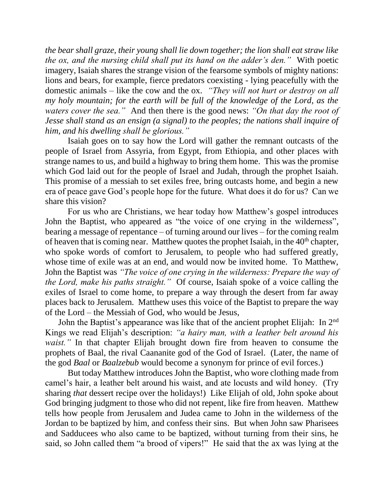*the bear shall graze, their young shall lie down together; the lion shall eat straw like the ox, and the nursing child shall put its hand on the adder's den."* With poetic imagery, Isaiah shares the strange vision of the fearsome symbols of mighty nations: lions and bears, for example, fierce predators coexisting - lying peacefully with the domestic animals – like the cow and the ox. *"They will not hurt or destroy on all my holy mountain; for the earth will be full of the knowledge of the Lord, as the waters cover the sea."* And then there is the good news: *"On that day the root of Jesse shall stand as an ensign (a signal) to the peoples; the nations shall inquire of him, and his dwelling shall be glorious."*

Isaiah goes on to say how the Lord will gather the remnant outcasts of the people of Israel from Assyria, from Egypt, from Ethiopia, and other places with strange names to us, and build a highway to bring them home. This was the promise which God laid out for the people of Israel and Judah, through the prophet Isaiah. This promise of a messiah to set exiles free, bring outcasts home, and begin a new era of peace gave God's people hope for the future. What does it do for us? Can we share this vision?

For us who are Christians, we hear today how Matthew's gospel introduces John the Baptist, who appeared as "the voice of one crying in the wilderness", bearing a message of repentance – of turning around our lives – for the coming realm of heaven that is coming near. Matthew quotes the prophet Isaiah, in the  $40<sup>th</sup>$  chapter, who spoke words of comfort to Jerusalem, to people who had suffered greatly, whose time of exile was at an end, and would now be invited home. To Matthew, John the Baptist was *"The voice of one crying in the wilderness: Prepare the way of the Lord, make his paths straight."* Of course, Isaiah spoke of a voice calling the exiles of Israel to come home, to prepare a way through the desert from far away places back to Jerusalem. Matthew uses this voice of the Baptist to prepare the way of the Lord – the Messiah of God, who would be Jesus,

John the Baptist's appearance was like that of the ancient prophet Elijah: In 2<sup>nd</sup> Kings we read Elijah's description: *"a hairy man, with a leather belt around his waist.*" In that chapter Elijah brought down fire from heaven to consume the prophets of Baal, the rival Caananite god of the God of Israel. (Later, the name of the god *Baal* or *Baalzebub* would become a synonym for prince of evil forces.)

But today Matthew introduces John the Baptist, who wore clothing made from camel's hair, a leather belt around his waist, and ate locusts and wild honey. (Try sharing *that* dessert recipe over the holidays!) Like Elijah of old, John spoke about God bringing judgment to those who did not repent, like fire from heaven. Matthew tells how people from Jerusalem and Judea came to John in the wilderness of the Jordan to be baptized by him, and confess their sins. But when John saw Pharisees and Sadducees who also came to be baptized, without turning from their sins, he said, so John called them "a brood of vipers!" He said that the ax was lying at the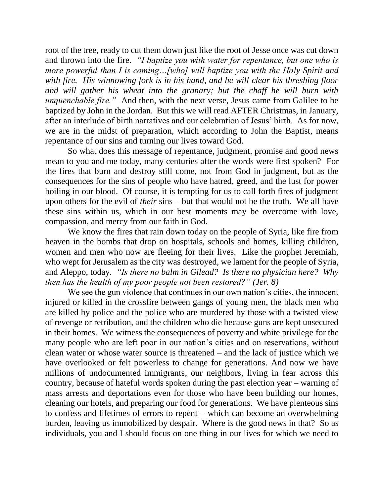root of the tree, ready to cut them down just like the root of Jesse once was cut down and thrown into the fire. *"I baptize you with water for repentance, but one who is more powerful than I is coming…[who] will baptize you with the Holy Spirit and with fire. His winnowing fork is in his hand, and he will clear his threshing floor and will gather his wheat into the granary; but the chaff he will burn with unquenchable fire."* And then, with the next verse, Jesus came from Galilee to be baptized by John in the Jordan. But this we will read AFTER Christmas, in January, after an interlude of birth narratives and our celebration of Jesus' birth. As for now, we are in the midst of preparation, which according to John the Baptist, means repentance of our sins and turning our lives toward God.

So what does this message of repentance, judgment, promise and good news mean to you and me today, many centuries after the words were first spoken? For the fires that burn and destroy still come, not from God in judgment, but as the consequences for the sins of people who have hatred, greed, and the lust for power boiling in our blood. Of course, it is tempting for us to call forth fires of judgment upon others for the evil of *their* sins – but that would not be the truth. We all have these sins within us, which in our best moments may be overcome with love, compassion, and mercy from our faith in God.

We know the fires that rain down today on the people of Syria, like fire from heaven in the bombs that drop on hospitals, schools and homes, killing children, women and men who now are fleeing for their lives. Like the prophet Jeremiah, who wept for Jerusalem as the city was destroyed, we lament for the people of Syria, and Aleppo, today. *"Is there no balm in Gilead? Is there no physician here? Why then has the health of my poor people not been restored?" (Jer. 8)*

We see the gun violence that continues in our own nation's cities, the innocent injured or killed in the crossfire between gangs of young men, the black men who are killed by police and the police who are murdered by those with a twisted view of revenge or retribution, and the children who die because guns are kept unsecured in their homes. We witness the consequences of poverty and white privilege for the many people who are left poor in our nation's cities and on reservations, without clean water or whose water source is threatened – and the lack of justice which we have overlooked or felt powerless to change for generations. And now we have millions of undocumented immigrants, our neighbors, living in fear across this country, because of hateful words spoken during the past election year – warning of mass arrests and deportations even for those who have been building our homes, cleaning our hotels, and preparing our food for generations. We have plenteous sins to confess and lifetimes of errors to repent – which can become an overwhelming burden, leaving us immobilized by despair. Where is the good news in that? So as individuals, you and I should focus on one thing in our lives for which we need to